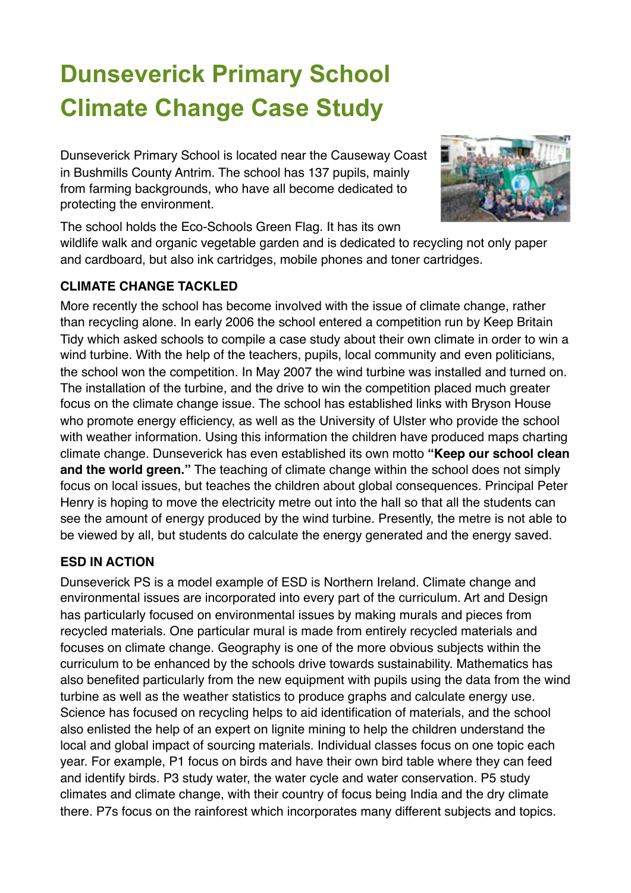## **Dunseverick Primary School Climate Change Case Study**

Dunseverick Primary School is located near the Causeway Coast in Bushmills County Antrim. The school has 137 pupils, mainly from farming backgrounds, who have all become dedicated to protecting the environment.



The school holds the Eco-Schools Green Flag. It has its own wildlife walk and organic vegetable garden and is dedicated to recycling not only paper and cardboard, but also ink cartridges, mobile phones and toner cartridges.

## **CLIMATE CHANGE TACKLED**

More recently the school has become involved with the issue of climate change, rather than recycling alone. In early 2006 the school entered a competition run by Keep Britain Tidy which asked schools to compile a case study about their own climate in order to win a wind turbine. With the help of the teachers, pupils, local community and even politicians, the school won the competition. In May 2007 the wind turbine was installed and turned on. The installation of the turbine, and the drive to win the competition placed much greater focus on the climate change issue. The school has established links with Bryson House who promote energy efficiency, as well as the University of Ulster who provide the school with weather information. Using this information the children have produced maps charting climate change. Dunseverick has even established its own motto **"Keep our school clean and the world green."** The teaching of climate change within the school does not simply focus on local issues, but teaches the children about global consequences. Principal Peter Henry is hoping to move the electricity metre out into the hall so that all the students can see the amount of energy produced by the wind turbine. Presently, the metre is not able to be viewed by all, but students do calculate the energy generated and the energy saved.

## **ESD IN ACTION**

Dunseverick PS is a model example of ESD is Northern Ireland. Climate change and environmental issues are incorporated into every part of the curriculum. Art and Design has particularly focused on environmental issues by making murals and pieces from recycled materials. One particular mural is made from entirely recycled materials and focuses on climate change. Geography is one of the more obvious subjects within the curriculum to be enhanced by the schools drive towards sustainability. Mathematics has also benefited particularly from the new equipment with pupils using the data from the wind turbine as well as the weather statistics to produce graphs and calculate energy use. Science has focused on recycling helps to aid identification of materials, and the school also enlisted the help of an expert on lignite mining to help the children understand the local and global impact of sourcing materials. Individual classes focus on one topic each year. For example, P1 focus on birds and have their own bird table where they can feed and identify birds. P3 study water, the water cycle and water conservation. P5 study climates and climate change, with their country of focus being India and the dry climate there. P7s focus on the rainforest which incorporates many different subjects and topics.